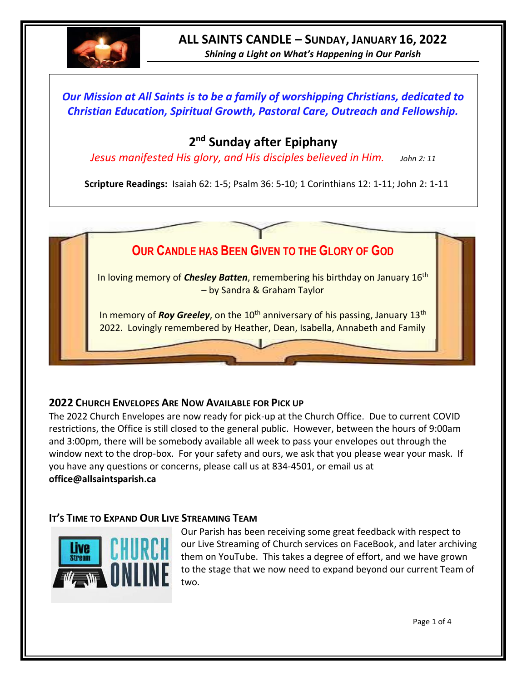

# **ALL SAINTS CANDLE – SUNDAY, JANUARY 16, 2022**

*Shining a Light on What's Happening in Our Parish*

# *Our Mission at All Saints is to be a family of worshipping Christians, dedicated to Christian Education, Spiritual Growth, Pastoral Care, Outreach and Fellowship.*

# **2 nd Sunday after Epiphany**

*Jesus manifested His glory, and His disciples believed in Him. John 2: 11*

**Scripture Readings:** Isaiah 62: 1-5; Psalm 36: 5-10; 1 Corinthians 12: 1-11; John 2: 1-11



## **2022 CHURCH ENVELOPES ARE NOW AVAILABLE FOR PICK UP**

The 2022 Church Envelopes are now ready for pick-up at the Church Office. Due to current COVID restrictions, the Office is still closed to the general public. However, between the hours of 9:00am and 3:00pm, there will be somebody available all week to pass your envelopes out through the window next to the drop-box. For your safety and ours, we ask that you please wear your mask. If you have any questions or concerns, please call us at 834-4501, or email us at **office@allsaintsparish.ca**

## **IT'S TIME TO EXPAND OUR LIVE STREAMING TEAM**



Our Parish has been receiving some great feedback with respect to our Live Streaming of Church services on FaceBook, and later archiving them on YouTube. This takes a degree of effort, and we have grown to the stage that we now need to expand beyond our current Team of two.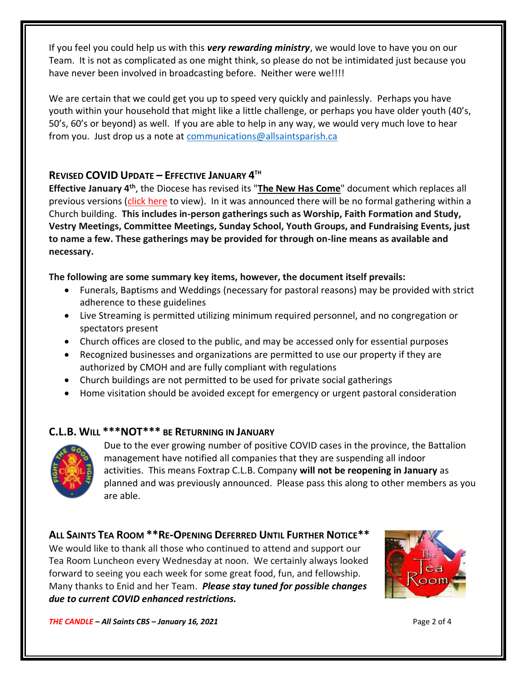If you feel you could help us with this *very rewarding ministry*, we would love to have you on our Team. It is not as complicated as one might think, so please do not be intimidated just because you have never been involved in broadcasting before. Neither were we!!!!

We are certain that we could get you up to speed very quickly and painlessly. Perhaps you have youth within your household that might like a little challenge, or perhaps you have older youth (40's, 50's, 60's or beyond) as well. If you are able to help in any way, we would very much love to hear from you. Just drop us a note at [communications@allsaintsparish.ca](mailto:communications@allsaintsparish.ca)

# **REVISED COVID UPDATE – EFFECTIVE JANUARY 4 TH**

**Effective January 4th**, the Diocese has revised its "**[The New Has Come](https://anglicanenl.net/home/wp-content/uploads/2022/01/Guidelines-under-Modified-Level-4-January-4-2022.pdf)**" document which replaces all previous versions [\(click here](https://anglicanenl.net/home/wp-content/uploads/2022/01/Guidelines-under-Modified-Level-4-January-4-2022.pdf) to view). In it was announced there will be no formal gathering within a Church building. **This includes in-person gatherings such as Worship, Faith Formation and Study, Vestry Meetings, Committee Meetings, Sunday School, Youth Groups, and Fundraising Events, just to name a few. These gatherings may be provided for through on-line means as available and necessary.**

#### **The following are some summary key items, however, the document itself prevails:**

- Funerals, Baptisms and Weddings (necessary for pastoral reasons) may be provided with strict adherence to these guidelines
- Live Streaming is permitted utilizing minimum required personnel, and no congregation or spectators present
- Church offices are closed to the public, and may be accessed only for essential purposes
- Recognized businesses and organizations are permitted to use our property if they are authorized by CMOH and are fully compliant with regulations
- Church buildings are not permitted to be used for private social gatherings
- Home visitation should be avoided except for emergency or urgent pastoral consideration

## **C.L.B. WILL \*\*\*NOT\*\*\* BE RETURNING IN JANUARY**



Due to the ever growing number of positive COVID cases in the province, the Battalion management have notified all companies that they are suspending all indoor activities. This means Foxtrap C.L.B. Company **will not be reopening in January** as planned and was previously announced. Please pass this along to other members as you are able.

## **ALL SAINTS TEA ROOM \*\*RE-OPENING DEFERRED UNTIL FURTHER NOTICE\*\***

We would like to thank all those who continued to attend and support our Tea Room Luncheon every Wednesday at noon. We certainly always looked forward to seeing you each week for some great food, fun, and fellowship. Many thanks to Enid and her Team. *Please stay tuned for possible changes due to current COVID enhanced restrictions.*



*THE CANDLE – All Saints CBS – January 16, 2021* Page 2 of 4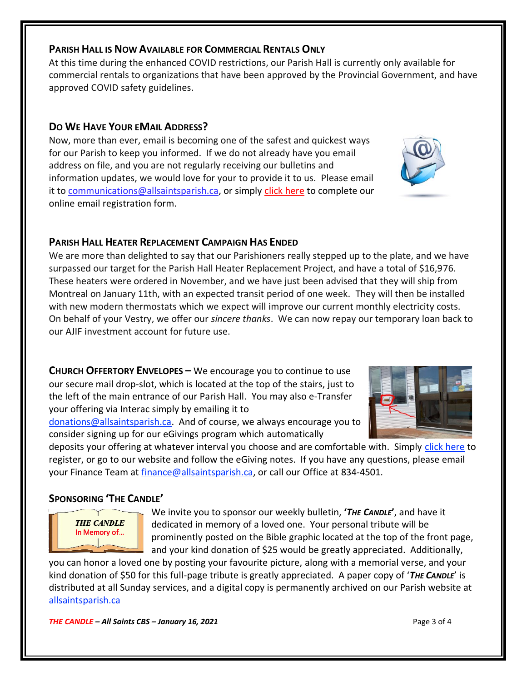#### **PARISH HALL IS NOW AVAILABLE FOR COMMERCIAL RENTALS ONLY**

At this time during the enhanced COVID restrictions, our Parish Hall is currently only available for commercial rentals to organizations that have been approved by the Provincial Government, and have approved COVID safety guidelines.

## **DO WE HAVE YOUR EMAIL ADDRESS?**

Now, more than ever, email is becoming one of the safest and quickest ways for our Parish to keep you informed. If we do not already have you email address on file, and you are not regularly receiving our bulletins and information updates, we would love for your to provide it to us. Please email it to [communications@allsaintsparish.ca,](mailto:communications@allsaintsparish.ca?subject=eMail%20Address%20Update) or simply [click here](http://allsaintsparish.ca/email_updates) to complete our online email registration form.

## **PARISH HALL HEATER REPLACEMENT CAMPAIGN HAS ENDED**

We are more than delighted to say that our Parishioners really stepped up to the plate, and we have surpassed our target for the Parish Hall Heater Replacement Project, and have a total of \$16,976. These heaters were ordered in November, and we have just been advised that they will ship from Montreal on January 11th, with an expected transit period of one week. They will then be installed with new modern thermostats which we expect will improve our current monthly electricity costs. On behalf of your Vestry, we offer our *sincere thanks*. We can now repay our temporary loan back to our AJIF investment account for future use.

**CHURCH OFFERTORY ENVELOPES –** We encourage you to continue to use our secure mail drop-slot, which is located at the top of the stairs, just to the left of the main entrance of our Parish Hall. You may also e-Transfer your offering via Interac simply by emailing it to

[donations@allsaintsparish.ca.](mailto:donations@allsaintsparish.ca) And of course, we always encourage you to consider signing up for our eGivings program which automatically

deposits your offering at whatever interval you choose and are comfortable with. Simply [click here](http://allsaintsparish.ca/egiving-online-information-form) to register, or go to our website and follow the eGiving notes. If you have [any](https://wfsites-to.websitecreatorprotool.com/870a5dd5.com/Admin/%7BSK_NODEID__22939341__SK%7D) questions, please email your Finance Team at [finance@allsaintsparish.ca,](mailto:finance@allsaintsparish.ca) or call our Office at 834-4501.

## **SPONSORING 'THE CANDLE'**

**THE CANDLE** In Memory of...

We invite you to sponsor our weekly bulletin, **'***THE CANDLE***'**, and have it dedicated in memory of a loved one. Your personal tribute will be prominently posted on the Bible graphic located at the top of the front page, and your kind donation of \$25 would be greatly appreciated. Additionally,

you can honor a loved one by posting your favourite picture, along with a memorial verse, and your kind donation of \$50 for this full-page tribute is greatly appreciated. A paper copy of '*THE CANDLE*' is distributed at all Sunday services, and a digital copy is permanently archived on our Parish website at [allsaintsparish.ca](http://allsaintsparish.ca/thecandle.html)

*THE CANDLE – All Saints CBS – January 16, 2021* Page 3 of 4